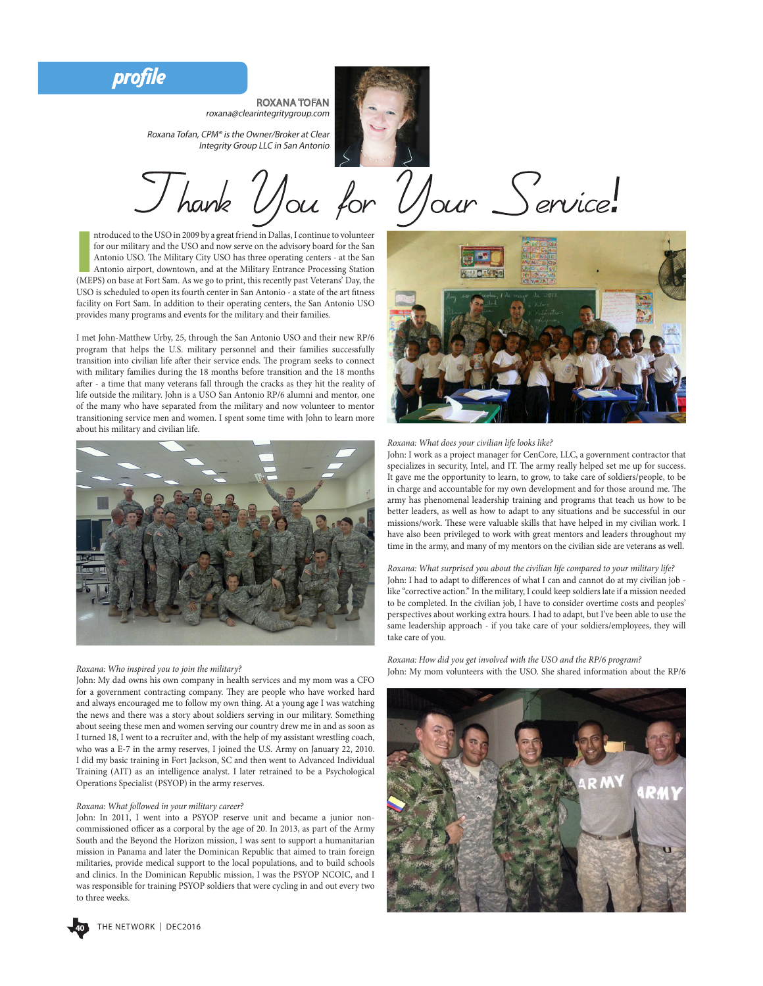profile



roxana@clearintegritygroup.com

ROXANA TOFAN

Roxana Tofan, CPM® is the Owner/Broker at Clear Integrity Group LLC in San Antonio

'Ulour Service.

ntroduced to the USO in 2009 by a great friend in Dallas, I continue to volunteer<br>for our military and the USO and now serve on the advisory board for the San<br>Antonio USO. The Military City USO has three operating centers ntroduced to the USO in 2009 by a great friend in Dallas, I continue to volunteer for our military and the USO and now serve on the advisory board for the San Antonio USO. The Military City USO has three operating centers - at the San Antonio airport, downtown, and at the Military Entrance Processing Station USO is scheduled to open its fourth center in San Antonio - a state of the art ftness facility on Fort Sam. In addition to their operating centers, the San Antonio USO provides many programs and events for the military and their families.

I met John-Matthew Urby, 25, through the San Antonio USO and their new RP/6 program that helps the U.S. military personnel and their families successfully transition into civilian life after their service ends. The program seeks to connect with military families during the 18 months before transition and the 18 months afer - a time that many veterans fall through the cracks as they hit the reality of life outside the military. John is a USO San Antonio RP/6 alumni and mentor, one of the many who have separated from the military and now volunteer to mentor transitioning service men and women. I spent some time with John to learn more about his military and civilian life.



#### *Roxana: Who inspired you to join the military?*

John: My dad owns his own company in health services and my mom was a CFO for a government contracting company. They are people who have worked hard and always encouraged me to follow my own thing. At a young age I was watching the news and there was a story about soldiers serving in our military. Something about seeing these men and women serving our country drew me in and as soon as I turned 18, I went to a recruiter and, with the help of my assistant wrestling coach, who was a E-7 in the army reserves, I joined the U.S. Army on January 22, 2010. I did my basic training in Fort Jackson, SC and then went to Advanced Individual Training (AIT) as an intelligence analyst. I later retrained to be a Psychological Operations Specialist (PSYOP) in the army reserves.

## *Roxana: What followed in your military career?*

John: In 2011, I went into a PSYOP reserve unit and became a junior noncommissioned officer as a corporal by the age of 20. In 2013, as part of the Army South and the Beyond the Horizon mission, I was sent to support a humanitarian mission in Panama and later the Dominican Republic that aimed to train foreign militaries, provide medical support to the local populations, and to build schools and clinics. In the Dominican Republic mission, I was the PSYOP NCOIC, and I was responsible for training PSYOP soldiers that were cycling in and out every two to three weeks.



### *Roxana: What does your civilian life looks like?*

John: I work as a project manager for CenCore, LLC, a government contractor that specializes in security, Intel, and IT. The army really helped set me up for success. It gave me the opportunity to learn, to grow, to take care of soldiers/people, to be in charge and accountable for my own development and for those around me. The army has phenomenal leadership training and programs that teach us how to be better leaders, as well as how to adapt to any situations and be successful in our missions/work. These were valuable skills that have helped in my civilian work. I have also been privileged to work with great mentors and leaders throughout my time in the army, and many of my mentors on the civilian side are veterans as well.

# *Roxana: What surprised you about the civilian life compared to your military life?*

John: I had to adapt to diferences of what I can and cannot do at my civilian job like "corrective action." In the military, I could keep soldiers late if a mission needed to be completed. In the civilian job, I have to consider overtime costs and peoples' perspectives about working extra hours. I had to adapt, but I've been able to use the same leadership approach - if you take care of your soldiers/employees, they will take care of you.

*Roxana: How did you get involved with the USO and the RP/6 program?* John: My mom volunteers with the USO. She shared information about the RP/6